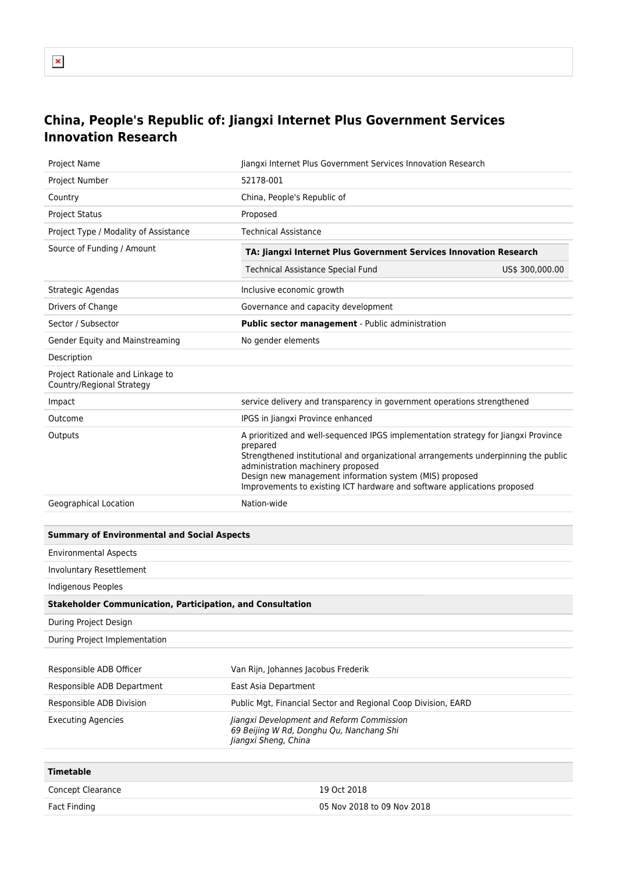## **China, People's Republic of: Jiangxi Internet Plus Government Services Innovation Research**

| Project Name                                                      | Jiangxi Internet Plus Government Services Innovation Research                                                                                                                                                                                                                                                                                                    |
|-------------------------------------------------------------------|------------------------------------------------------------------------------------------------------------------------------------------------------------------------------------------------------------------------------------------------------------------------------------------------------------------------------------------------------------------|
| Project Number                                                    | 52178-001                                                                                                                                                                                                                                                                                                                                                        |
| Country                                                           | China, People's Republic of                                                                                                                                                                                                                                                                                                                                      |
| <b>Project Status</b>                                             | Proposed                                                                                                                                                                                                                                                                                                                                                         |
| Project Type / Modality of Assistance                             | <b>Technical Assistance</b>                                                                                                                                                                                                                                                                                                                                      |
| Source of Funding / Amount                                        | TA: Jiangxi Internet Plus Government Services Innovation Research                                                                                                                                                                                                                                                                                                |
|                                                                   | <b>Technical Assistance Special Fund</b><br>US\$ 300,000.00                                                                                                                                                                                                                                                                                                      |
| Strategic Agendas                                                 | Inclusive economic growth                                                                                                                                                                                                                                                                                                                                        |
| Drivers of Change                                                 | Governance and capacity development                                                                                                                                                                                                                                                                                                                              |
| Sector / Subsector                                                | Public sector management - Public administration                                                                                                                                                                                                                                                                                                                 |
| Gender Equity and Mainstreaming                                   | No gender elements                                                                                                                                                                                                                                                                                                                                               |
| Description                                                       |                                                                                                                                                                                                                                                                                                                                                                  |
| Project Rationale and Linkage to<br>Country/Regional Strategy     |                                                                                                                                                                                                                                                                                                                                                                  |
| Impact                                                            | service delivery and transparency in government operations strengthened                                                                                                                                                                                                                                                                                          |
| Outcome                                                           | IPGS in Jiangxi Province enhanced                                                                                                                                                                                                                                                                                                                                |
| Outputs                                                           | A prioritized and well-sequenced IPGS implementation strategy for Jiangxi Province<br>prepared<br>Strengthened institutional and organizational arrangements underpinning the public<br>administration machinery proposed<br>Design new management information system (MIS) proposed<br>Improvements to existing ICT hardware and software applications proposed |
| Geographical Location                                             | Nation-wide                                                                                                                                                                                                                                                                                                                                                      |
|                                                                   |                                                                                                                                                                                                                                                                                                                                                                  |
| <b>Summary of Environmental and Social Aspects</b>                |                                                                                                                                                                                                                                                                                                                                                                  |
| <b>Environmental Aspects</b>                                      |                                                                                                                                                                                                                                                                                                                                                                  |
| Involuntary Resettlement                                          |                                                                                                                                                                                                                                                                                                                                                                  |
| <b>Indigenous Peoples</b>                                         |                                                                                                                                                                                                                                                                                                                                                                  |
| <b>Stakeholder Communication, Participation, and Consultation</b> |                                                                                                                                                                                                                                                                                                                                                                  |
| During Project Design                                             |                                                                                                                                                                                                                                                                                                                                                                  |
| During Project Implementation                                     |                                                                                                                                                                                                                                                                                                                                                                  |
|                                                                   |                                                                                                                                                                                                                                                                                                                                                                  |
| Responsible ADB Officer                                           | Van Rijn, Johannes Jacobus Frederik                                                                                                                                                                                                                                                                                                                              |
| Responsible ADB Department                                        | East Asia Department                                                                                                                                                                                                                                                                                                                                             |
| Responsible ADB Division                                          | Public Mgt, Financial Sector and Regional Coop Division, EARD                                                                                                                                                                                                                                                                                                    |
| <b>Executing Agencies</b>                                         | Jiangxi Development and Reform Commission<br>69 Beijing W Rd, Donghu Qu, Nanchang Shi<br>Jiangxi Sheng, China                                                                                                                                                                                                                                                    |
| <b>Timetable</b>                                                  |                                                                                                                                                                                                                                                                                                                                                                  |
|                                                                   | 19 Oct 2018                                                                                                                                                                                                                                                                                                                                                      |
| Concept Clearance<br><b>Fact Finding</b>                          | 05 Nov 2018 to 09 Nov 2018                                                                                                                                                                                                                                                                                                                                       |
|                                                                   |                                                                                                                                                                                                                                                                                                                                                                  |